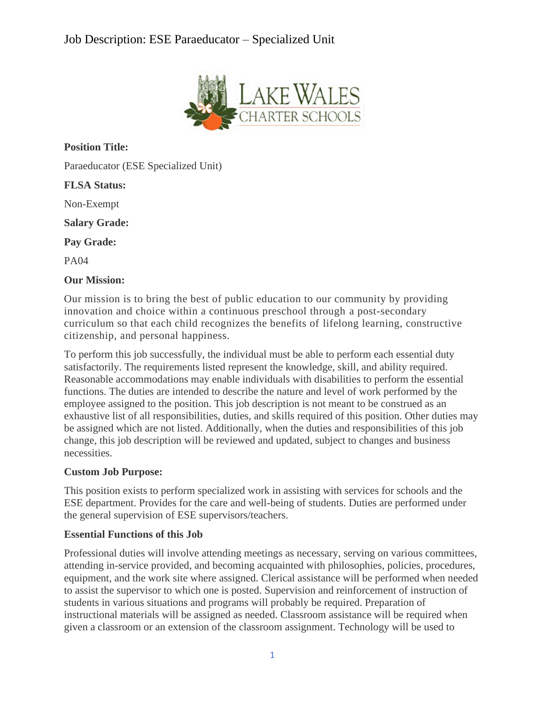# Job Description: ESE Paraeducator – Specialized Unit



**Position Title:**

Paraeducator (ESE Specialized Unit)

**FLSA Status:**

Non-Exempt

**Salary Grade:**

**Pay Grade:**

PA04

#### **Our Mission:**

Our mission is to bring the best of public education to our community by providing innovation and choice within a continuous preschool through a post-secondary curriculum so that each child recognizes the benefits of lifelong learning, constructive citizenship, and personal happiness.

To perform this job successfully, the individual must be able to perform each essential duty satisfactorily. The requirements listed represent the knowledge, skill, and ability required. Reasonable accommodations may enable individuals with disabilities to perform the essential functions. The duties are intended to describe the nature and level of work performed by the employee assigned to the position. This job description is not meant to be construed as an exhaustive list of all responsibilities, duties, and skills required of this position. Other duties may be assigned which are not listed. Additionally, when the duties and responsibilities of this job change, this job description will be reviewed and updated, subject to changes and business necessities.

#### **Custom Job Purpose:**

This position exists to perform specialized work in assisting with services for schools and the ESE department. Provides for the care and well-being of students. Duties are performed under the general supervision of ESE supervisors/teachers.

# **Essential Functions of this Job**

Professional duties will involve attending meetings as necessary, serving on various committees, attending in-service provided, and becoming acquainted with philosophies, policies, procedures, equipment, and the work site where assigned. Clerical assistance will be performed when needed to assist the supervisor to which one is posted. Supervision and reinforcement of instruction of students in various situations and programs will probably be required. Preparation of instructional materials will be assigned as needed. Classroom assistance will be required when given a classroom or an extension of the classroom assignment. Technology will be used to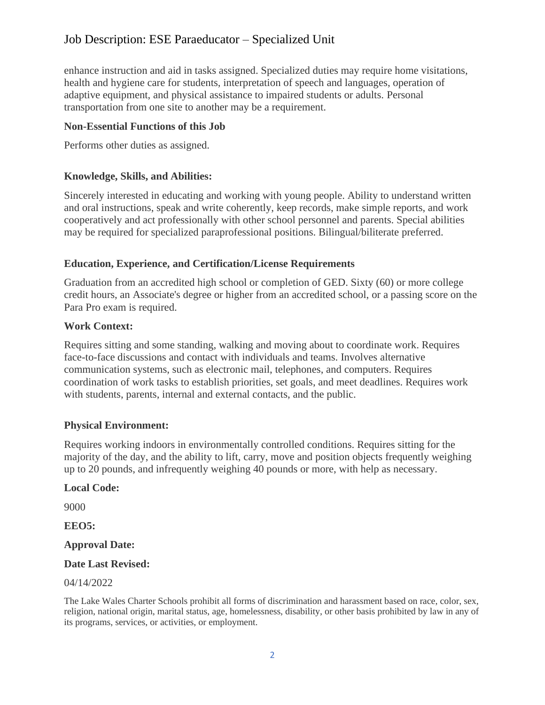# Job Description: ESE Paraeducator – Specialized Unit

enhance instruction and aid in tasks assigned. Specialized duties may require home visitations, health and hygiene care for students, interpretation of speech and languages, operation of adaptive equipment, and physical assistance to impaired students or adults. Personal transportation from one site to another may be a requirement.

#### **Non-Essential Functions of this Job**

Performs other duties as assigned.

#### **Knowledge, Skills, and Abilities:**

Sincerely interested in educating and working with young people. Ability to understand written and oral instructions, speak and write coherently, keep records, make simple reports, and work cooperatively and act professionally with other school personnel and parents. Special abilities may be required for specialized paraprofessional positions. Bilingual/biliterate preferred.

# **Education, Experience, and Certification/License Requirements**

Graduation from an accredited high school or completion of GED. Sixty (60) or more college credit hours, an Associate's degree or higher from an accredited school, or a passing score on the Para Pro exam is required.

#### **Work Context:**

Requires sitting and some standing, walking and moving about to coordinate work. Requires face-to-face discussions and contact with individuals and teams. Involves alternative communication systems, such as electronic mail, telephones, and computers. Requires coordination of work tasks to establish priorities, set goals, and meet deadlines. Requires work with students, parents, internal and external contacts, and the public.

# **Physical Environment:**

Requires working indoors in environmentally controlled conditions. Requires sitting for the majority of the day, and the ability to lift, carry, move and position objects frequently weighing up to 20 pounds, and infrequently weighing 40 pounds or more, with help as necessary.

# **Local Code:**

9000

**EEO5:**

# **Approval Date:**

# **Date Last Revised:**

#### 04/14/2022

The Lake Wales Charter Schools prohibit all forms of discrimination and harassment based on race, color, sex, religion, national origin, marital status, age, homelessness, disability, or other basis prohibited by law in any of its programs, services, or activities, or employment.